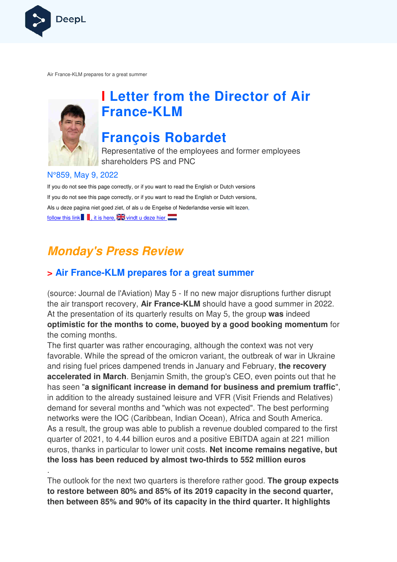

Air France-KLM prepares for a great summer KLM



.

## **I Letter from the Director of Air France France-KLM**

## **François Robardet**

Representative of the employees and former employees shareholders PS and PNC

#### N°859, May 9, 2022

If you do not see this page correctly, or if you want to read the English or Dutch versions If you do not see this page correctly, or if you want to read the English or Dutch versions, Als u deze pagina niet goed ziet, of als u de Engelse of Nederlandse versie wilt lezen, follow this link  $\blacksquare$ , it is here,  $\mathbb{Z}$  vindt u deze hier

## **Monday's Press Review**

## **> Air France-KLM prepares for a great summer KLM**

(source: Journal de l'Aviation) May 5 - If no new major disruptions further disrupt the air transport recovery, **Air France France-KLM** should have a good summer in 2022. At the presentation of its quarterly results on May 5, the group **was** indeed **optimistic for the months to come, buoyed by a good booking momentum**  for the coming months.

The first quarter was rather encouraging, although the context was not very favorable. While the spread of the omicron variant, the outbreak of war in Ukraine and rising fuel prices dampened trends in January and February, **the recovery accelerated in March**. Benjamin Smith, the group's CEO, even points out that he has seen "**a significant increase in demand for business and premium traffic** ", in addition to the already sustained leisure and VFR (Visit Friends and Relatives) demand for several months and "which was not expected". The best performing networks were the IOC (Caribbean, Indian Ocean), Africa and South America. e As a result, the group was able to publish a revenue doubled compared to the first quarter of 2021, to 4.44 billion euros and a positive EBITDA again at 221 million euros, thanks in particular to lower unit costs. **Net income remains negative, but the loss has been reduced by almost two two-thirds to 552 million euros** he context was not very<br>the outbreak of war in Ukraine<br>and February, **the recovery**<br>s CEO, even points out that he

The outlook for the next two quarters is therefore rather good. **The group expects to restore between 80% and 85% of its 2019 capac capacity in the second quarter, then between 85% and 90% of its capacity in the third quarter. It highlights thirds to 55**<br>fore rather g<br>**19 capacity**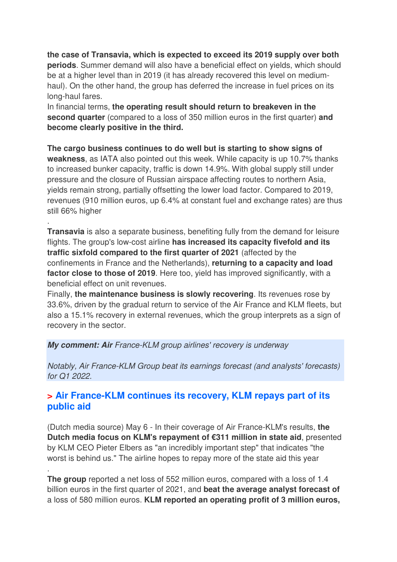**the case of Transavia, which is expected to exceed its 2019 supply over both periods**. Summer demand will also have a beneficial effect on yields, which should be at a higher level than in 2019 (it has already recovered this level on mediumhaul). On the other hand, the group has deferred the increase in fuel prices on its long-haul fares.

In financial terms, **the operating result should return to breakeven in the second quarter** (compared to a loss of 350 million euros in the first quarter) **and become clearly positive in the third.** 

**The cargo business continues to do well but is starting to show signs of weakness**, as IATA also pointed out this week. While capacity is up 10.7% thanks to increased bunker capacity, traffic is down 14.9%. With global supply still under pressure and the closure of Russian airspace affecting routes to northern Asia, yields remain strong, partially offsetting the lower load factor. Compared to 2019, revenues (910 million euros, up 6.4% at constant fuel and exchange rates) are thus still 66% higher

**Transavia** is also a separate business, benefiting fully from the demand for leisure flights. The group's low-cost airline **has increased its capacity fivefold and its traffic sixfold compared to the first quarter of 2021** (affected by the confinements in France and the Netherlands), **returning to a capacity and load factor close to those of 2019**. Here too, yield has improved significantly, with a beneficial effect on unit revenues.

Finally, **the maintenance business is slowly recovering**. Its revenues rose by 33.6%, driven by the gradual return to service of the Air France and KLM fleets, but also a 15.1% recovery in external revenues, which the group interprets as a sign of recovery in the sector.

#### **My comment: Air** France-KLM group airlines' recovery is underway

.

.

Notably, Air France-KLM Group beat its earnings forecast (and analysts' forecasts) for Q1 2022.

### **> Air France-KLM continues its recovery, KLM repays part of its public aid**

(Dutch media source) May 6 - In their coverage of Air France-KLM's results, **the Dutch media focus on KLM's repayment of €311 million in state aid**, presented by KLM CEO Pieter Elbers as "an incredibly important step" that indicates "the worst is behind us." The airline hopes to repay more of the state aid this year

**The group** reported a net loss of 552 million euros, compared with a loss of 1.4 billion euros in the first quarter of 2021, and **beat the average analyst forecast of**  a loss of 580 million euros. **KLM reported an operating profit of 3 million euros,**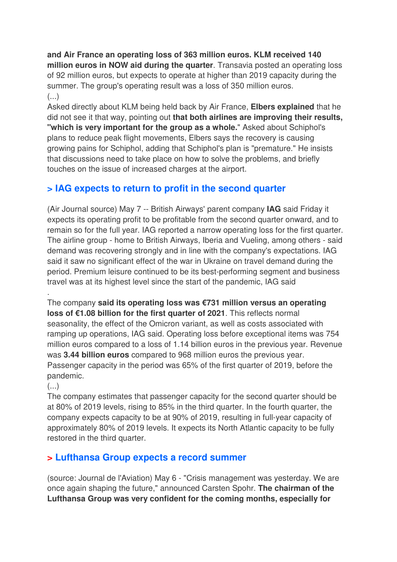**and Air France an operating loss of 363 million euros. KLM received 140 million euros in NOW aid during the quarter**. Transavia posted an operating loss of 92 million euros, but expects to operate at higher than 2019 capacity during the summer. The group's operating result was a loss of 350 million euros. (...)

Asked directly about KLM being held back by Air France, **Elbers explained** that he did not see it that way, pointing out **that both airlines are improving their results, "which is very important for the group as a whole.**" Asked about Schiphol's plans to reduce peak flight movements, Elbers says the recovery is causing growing pains for Schiphol, adding that Schiphol's plan is "premature." He insists that discussions need to take place on how to solve the problems, and briefly touches on the issue of increased charges at the airport.

## **> IAG expects to return to profit in the second quarter**

(Air Journal source) May 7 -- British Airways' parent company **IAG** said Friday it expects its operating profit to be profitable from the second quarter onward, and to remain so for the full year. IAG reported a narrow operating loss for the first quarter. The airline group - home to British Airways, Iberia and Vueling, among others - said demand was recovering strongly and in line with the company's expectations. IAG said it saw no significant effect of the war in Ukraine on travel demand during the period. Premium leisure continued to be its best-performing segment and business travel was at its highest level since the start of the pandemic, IAG said

The company **said its operating loss was €731 million versus an operating loss of €1.08 billion for the first quarter of 2021**. This reflects normal seasonality, the effect of the Omicron variant, as well as costs associated with ramping up operations, IAG said. Operating loss before exceptional items was 754 million euros compared to a loss of 1.14 billion euros in the previous year. Revenue was **3.44 billion euros** compared to 968 million euros the previous year. Passenger capacity in the period was 65% of the first quarter of 2019, before the pandemic.

 $\left( \ldots \right)$ 

.

The company estimates that passenger capacity for the second quarter should be at 80% of 2019 levels, rising to 85% in the third quarter. In the fourth quarter, the company expects capacity to be at 90% of 2019, resulting in full-year capacity of approximately 80% of 2019 levels. It expects its North Atlantic capacity to be fully restored in the third quarter.

### **> Lufthansa Group expects a record summer**

(source: Journal de l'Aviation) May 6 - "Crisis management was yesterday. We are once again shaping the future," announced Carsten Spohr. **The chairman of the Lufthansa Group was very confident for the coming months, especially for**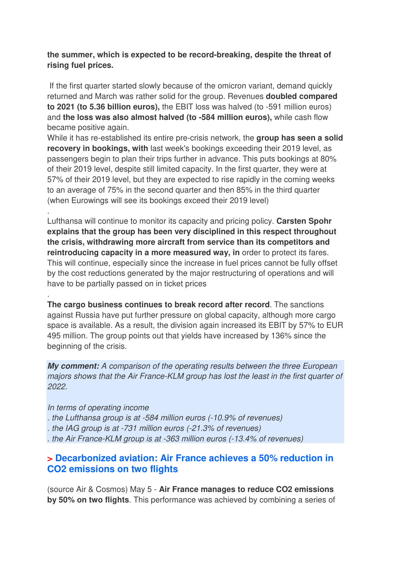#### **the summer, which is expected to be record-breaking, despite the threat of rising fuel prices.**

 If the first quarter started slowly because of the omicron variant, demand quickly returned and March was rather solid for the group. Revenues **doubled compared to 2021 (to 5.36 billion euros),** the EBIT loss was halved (to -591 million euros) and **the loss was also almost halved (to -584 million euros),** while cash flow became positive again.

While it has re-established its entire pre-crisis network, the **group has seen a solid recovery in bookings, with** last week's bookings exceeding their 2019 level, as passengers begin to plan their trips further in advance. This puts bookings at 80% of their 2019 level, despite still limited capacity. In the first quarter, they were at 57% of their 2019 level, but they are expected to rise rapidly in the coming weeks to an average of 75% in the second quarter and then 85% in the third quarter (when Eurowings will see its bookings exceed their 2019 level)

Lufthansa will continue to monitor its capacity and pricing policy. **Carsten Spohr explains that the group has been very disciplined in this respect throughout the crisis, withdrawing more aircraft from service than its competitors and reintroducing capacity in a more measured way, in** order to protect its fares. This will continue, especially since the increase in fuel prices cannot be fully offset by the cost reductions generated by the major restructuring of operations and will have to be partially passed on in ticket prices

**The cargo business continues to break record after record**. The sanctions against Russia have put further pressure on global capacity, although more cargo space is available. As a result, the division again increased its EBIT by 57% to EUR 495 million. The group points out that yields have increased by 136% since the beginning of the crisis.

**My comment:** A comparison of the operating results between the three European majors shows that the Air France-KLM group has lost the least in the first quarter of 2022.

#### In terms of operating income

.

.

- . the Lufthansa group is at -584 million euros (-10.9% of revenues)
- . the IAG group is at -731 million euros (-21.3% of revenues)
- . the Air France-KLM group is at -363 million euros (-13.4% of revenues)

### **> Decarbonized aviation: Air France achieves a 50% reduction in CO2 emissions on two flights**

(source Air & Cosmos) May 5 - **Air France manages to reduce CO2 emissions by 50% on two flights**. This performance was achieved by combining a series of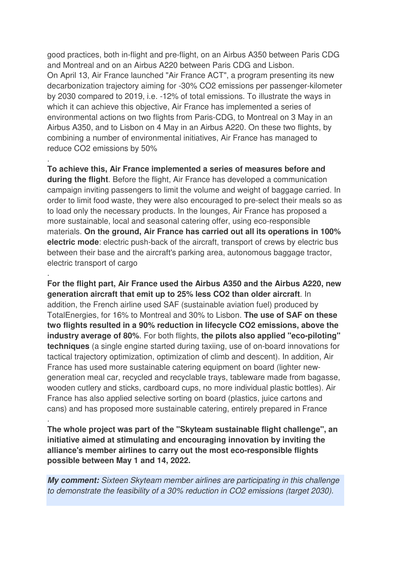good practices, both in-flight and pre-flight, on an Airbus A350 between Paris CDG and Montreal and on an Airbus A220 between Paris CDG and Lisbon. On April 13, Air France launched "Air France ACT", a program presenting its new decarbonization trajectory aiming for -30% CO2 emissions per passenger-kilometer by 2030 compared to 2019, i.e. -12% of total emissions. To illustrate the ways in which it can achieve this objective, Air France has implemented a series of environmental actions on two flights from Paris-CDG, to Montreal on 3 May in an Airbus A350, and to Lisbon on 4 May in an Airbus A220. On these two flights, by combining a number of environmental initiatives, Air France has managed to reduce CO2 emissions by 50%

**To achieve this, Air France implemented a series of measures before and during the flight**. Before the flight, Air France has developed a communication campaign inviting passengers to limit the volume and weight of baggage carried. In order to limit food waste, they were also encouraged to pre-select their meals so as to load only the necessary products. In the lounges, Air France has proposed a more sustainable, local and seasonal catering offer, using eco-responsible materials. **On the ground, Air France has carried out all its operations in 100% electric mode**: electric push-back of the aircraft, transport of crews by electric bus between their base and the aircraft's parking area, autonomous baggage tractor, electric transport of cargo

.

.

.

**For the flight part, Air France used the Airbus A350 and the Airbus A220, new generation aircraft that emit up to 25% less CO2 than older aircraft**. In addition, the French airline used SAF (sustainable aviation fuel) produced by TotalEnergies, for 16% to Montreal and 30% to Lisbon. **The use of SAF on these two flights resulted in a 90% reduction in lifecycle CO2 emissions, above the industry average of 80%**. For both flights, **the pilots also applied "eco-piloting" techniques** (a single engine started during taxiing, use of on-board innovations for tactical trajectory optimization, optimization of climb and descent). In addition, Air France has used more sustainable catering equipment on board (lighter newgeneration meal car, recycled and recyclable trays, tableware made from bagasse, wooden cutlery and sticks, cardboard cups, no more individual plastic bottles). Air France has also applied selective sorting on board (plastics, juice cartons and cans) and has proposed more sustainable catering, entirely prepared in France

**The whole project was part of the "Skyteam sustainable flight challenge", an initiative aimed at stimulating and encouraging innovation by inviting the alliance's member airlines to carry out the most eco-responsible flights possible between May 1 and 14, 2022.**

**My comment:** Sixteen Skyteam member airlines are participating in this challenge to demonstrate the feasibility of a 30% reduction in CO2 emissions (target 2030).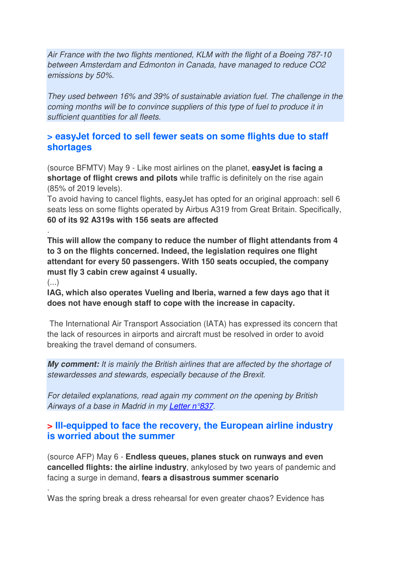Air France with the two flights mentioned, KLM with the flight of a Boeing 787-10 between Amsterdam and Edmonton in Canada, have managed to reduce CO2 emissions by 50%.

They used between 16% and 39% of sustainable aviation fuel. The challenge in the coming months will be to convince suppliers of this type of fuel to produce it in sufficient quantities for all fleets.

#### **> easyJet forced to sell fewer seats on some flights due to staff shortages**

(source BFMTV) May 9 - Like most airlines on the planet, **easyJet is facing a shortage of flight crews and pilots** while traffic is definitely on the rise again (85% of 2019 levels).

To avoid having to cancel flights, easyJet has opted for an original approach: sell 6 seats less on some flights operated by Airbus A319 from Great Britain. Specifically, **60 of its 92 A319s with 156 seats are affected**

. **This will allow the company to reduce the number of flight attendants from 4 to 3 on the flights concerned. Indeed, the legislation requires one flight attendant for every 50 passengers. With 150 seats occupied, the company must fly 3 cabin crew against 4 usually.** 

 $\left(\ldots\right)$ 

.

**IAG, which also operates Vueling and Iberia, warned a few days ago that it does not have enough staff to cope with the increase in capacity.** 

 The International Air Transport Association (IATA) has expressed its concern that the lack of resources in airports and aircraft must be resolved in order to avoid breaking the travel demand of consumers.

**My comment:** It is mainly the British airlines that are affected by the shortage of stewardesses and stewards, especially because of the Brexit.

For detailed explanations, read again my comment on the opening by British Airways of a base in Madrid in my Letter n°837.

### **> Ill-equipped to face the recovery, the European airline industry is worried about the summer**

(source AFP) May 6 - **Endless queues, planes stuck on runways and even cancelled flights: the airline industry**, ankylosed by two years of pandemic and facing a surge in demand, **fears a disastrous summer scenario**

Was the spring break a dress rehearsal for even greater chaos? Evidence has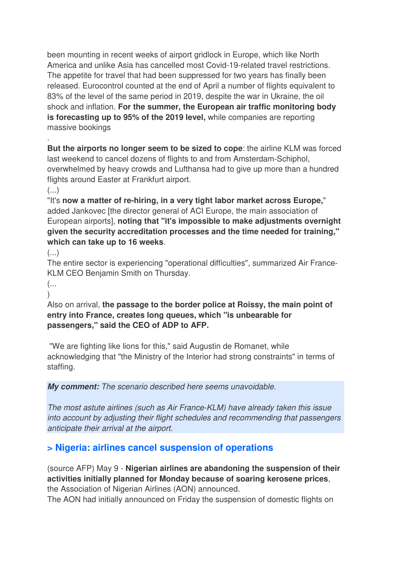been mounting in recent weeks of airport gridlock in Europe, which like North America and unlike Asia has cancelled most Covid-19-related travel restrictions. The appetite for travel that had been suppressed for two years has finally been released. Eurocontrol counted at the end of April a number of flights equivalent to 83% of the level of the same period in 2019, despite the war in Ukraine, the oil shock and inflation. **For the summer, the European air traffic monitoring body is forecasting up to 95% of the 2019 level,** while companies are reporting massive bookings

**But the airports no longer seem to be sized to cope**: the airline KLM was forced last weekend to cancel dozens of flights to and from Amsterdam-Schiphol, overwhelmed by heavy crowds and Lufthansa had to give up more than a hundred flights around Easter at Frankfurt airport.

 $\left(\ldots\right)$ 

.

"It's **now a matter of re-hiring, in a very tight labor market across Europe,**" added Jankovec [the director general of ACI Europe, the main association of European airports], **noting that "it's impossible to make adjustments overnight given the security accreditation processes and the time needed for training," which can take up to 16 weeks**.

 $\left( \ldots \right)$ 

The entire sector is experiencing "operational difficulties", summarized Air France-KLM CEO Benjamin Smith on Thursday.

(...  $\lambda$ 

Also on arrival, **the passage to the border police at Roissy, the main point of entry into France, creates long queues, which "is unbearable for passengers," said the CEO of ADP to AFP.** 

 "We are fighting like lions for this," said Augustin de Romanet, while acknowledging that "the Ministry of the Interior had strong constraints" in terms of staffing.

**My comment:** The scenario described here seems unavoidable.

The most astute airlines (such as Air France-KLM) have already taken this issue into account by adjusting their flight schedules and recommending that passengers anticipate their arrival at the airport.

## **> Nigeria: airlines cancel suspension of operations**

(source AFP) May 9 - **Nigerian airlines are abandoning the suspension of their activities initially planned for Monday because of soaring kerosene prices**, the Association of Nigerian Airlines (AON) announced.

The AON had initially announced on Friday the suspension of domestic flights on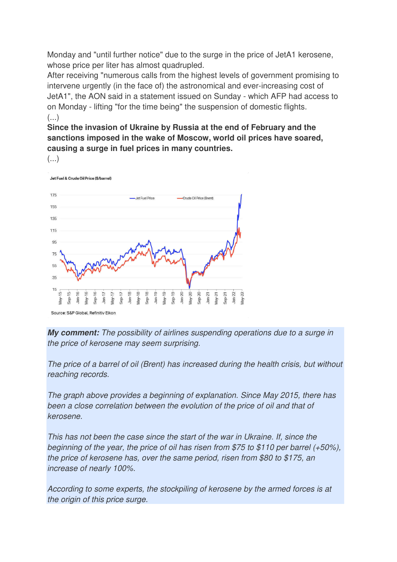Monday and "until further notice" due to the surge in the price of JetA1 kerosene, whose price per liter has almost quadrupled.

After receiving "numerous calls from the highest levels of government promising to intervene urgently (in the face of) the astronomical and ever-increasing cost of JetA1", the AON said in a statement issued on Sunday - which AFP had access to on Monday - lifting "for the time being" the suspension of domestic flights.  $\left( \ldots \right)$ 

**Since the invasion of Ukraine by Russia at the end of February and the sanctions imposed in the wake of Moscow, world oil prices have soared, causing a surge in fuel prices in many countries.** 



Jet Fuel & Crude Oil Price (\$/barrel



**My comment:** The possibility of airlines suspending operations due to a surge in the price of kerosene may seem surprising.

The price of a barrel of oil (Brent) has increased during the health crisis, but without reaching records.

The graph above provides a beginning of explanation. Since May 2015, there has been a close correlation between the evolution of the price of oil and that of kerosene.

This has not been the case since the start of the war in Ukraine. If, since the beginning of the year, the price of oil has risen from \$75 to \$110 per barrel (+50%), the price of kerosene has, over the same period, risen from \$80 to \$175, an increase of nearly 100%.

According to some experts, the stockpiling of kerosene by the armed forces is at the origin of this price surge.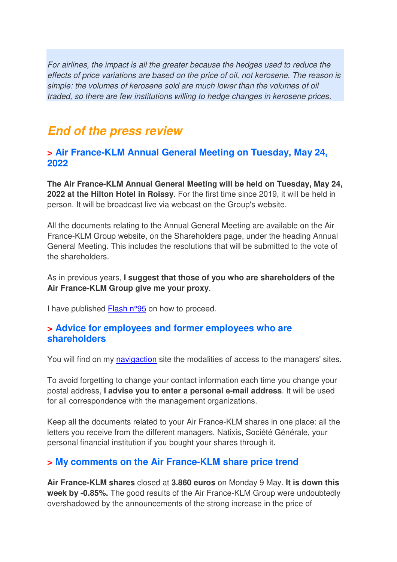For airlines, the impact is all the greater because the hedges used to reduce the effects of price variations are based on the price of oil, not kerosene. The reason is simple: the volumes of kerosene sold are much lower than the volumes of oil traded, so there are few institutions willing to hedge changes in kerosene prices.

## **End of the press review**

#### **> Air France-KLM Annual General Meeting on Tuesday, May 24, 2022**

**The Air France-KLM Annual General Meeting will be held on Tuesday, May 24, 2022 at the Hilton Hotel in Roissy**. For the first time since 2019, it will be held in person. It will be broadcast live via webcast on the Group's website.

All the documents relating to the Annual General Meeting are available on the Air France-KLM Group website, on the Shareholders page, under the heading Annual General Meeting. This includes the resolutions that will be submitted to the vote of the shareholders.

As in previous years, **I suggest that those of you who are shareholders of the Air France-KLM Group give me your proxy**.

I have published Flash n°95 on how to proceed.

#### **> Advice for employees and former employees who are shareholders**

You will find on my navigaction site the modalities of access to the managers' sites.

To avoid forgetting to change your contact information each time you change your postal address, **I advise you to enter a personal e-mail address**. It will be used for all correspondence with the management organizations.

Keep all the documents related to your Air France-KLM shares in one place: all the letters you receive from the different managers, Natixis, Société Générale, your personal financial institution if you bought your shares through it.

## **> My comments on the Air France-KLM share price trend**

**Air France-KLM shares** closed at **3.860 euros** on Monday 9 May. **It is down this week by -0.85%.** The good results of the Air France-KLM Group were undoubtedly overshadowed by the announcements of the strong increase in the price of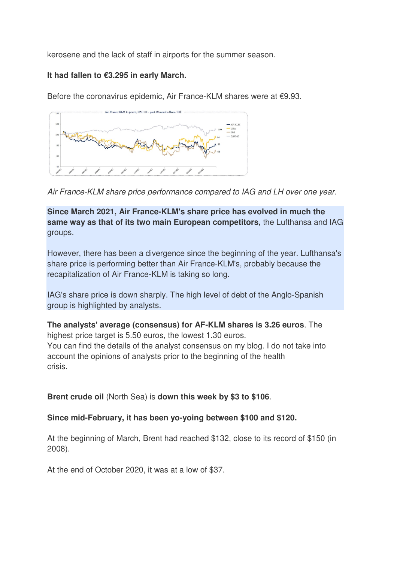kerosene and the lack of staff in airports for the summer season.

#### **It had fallen to €3.295 in early March.**

Before the coronavirus epidemic, Air France-KLM shares were at €9.93.





**Since March 2021, Air France-KLM's share price has evolved in much the same way as that of its two main European competitors,** the Lufthansa and IAG groups.

However, there has been a divergence since the beginning of the year. Lufthansa's share price is performing better than Air France-KLM's, probably because the recapitalization of Air France-KLM is taking so long.

IAG's share price is down sharply. The high level of debt of the Anglo-Spanish group is highlighted by analysts.

**The analysts' average (consensus) for AF-KLM shares is 3.26 euros**. The highest price target is 5.50 euros, the lowest 1.30 euros. You can find the details of the analyst consensus on my blog. I do not take into account the opinions of analysts prior to the beginning of the health crisis.

**Brent crude oil** (North Sea) is **down this week by \$3 to \$106**.

#### **Since mid-February, it has been yo-yoing between \$100 and \$120.**

At the beginning of March, Brent had reached \$132, close to its record of \$150 (in 2008).

At the end of October 2020, it was at a low of \$37.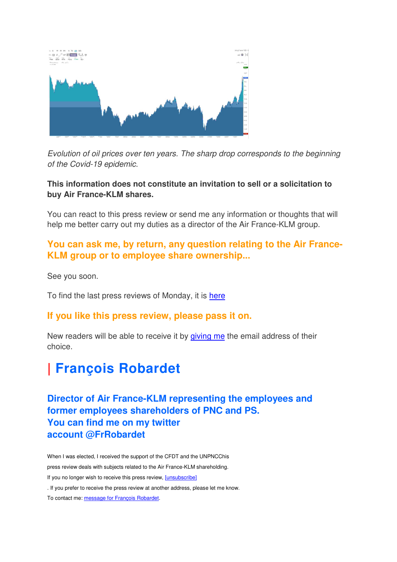

Evolution of oil prices over ten years. The sharp drop corresponds to the beginning of the Covid-19 epidemic.

#### **This information does not constitute an invitation to sell or a solicitation to buy Air France-KLM shares.**

You can react to this press review or send me any information or thoughts that will help me better carry out my duties as a director of the Air France-KLM group.

### **You can ask me, by return, any question relating to the Air France-KLM group or to employee share ownership...**

See you soon.

To find the last press reviews of Monday, it is here

#### **If you like this press review, please pass it on.**

New readers will be able to receive it by giving me the email address of their choice.

# **| François Robardet**

**Director of Air France-KLM representing the employees and former employees shareholders of PNC and PS. You can find me on my twitter account @FrRobardet** 

When I was elected, I received the support of the CFDT and the UNPNCChis press review deals with subjects related to the Air France-KLM shareholding. If you no longer wish to receive this press review, [unsubscribe] . If you prefer to receive the press review at another address, please let me know. To contact me: message for François Robardet.